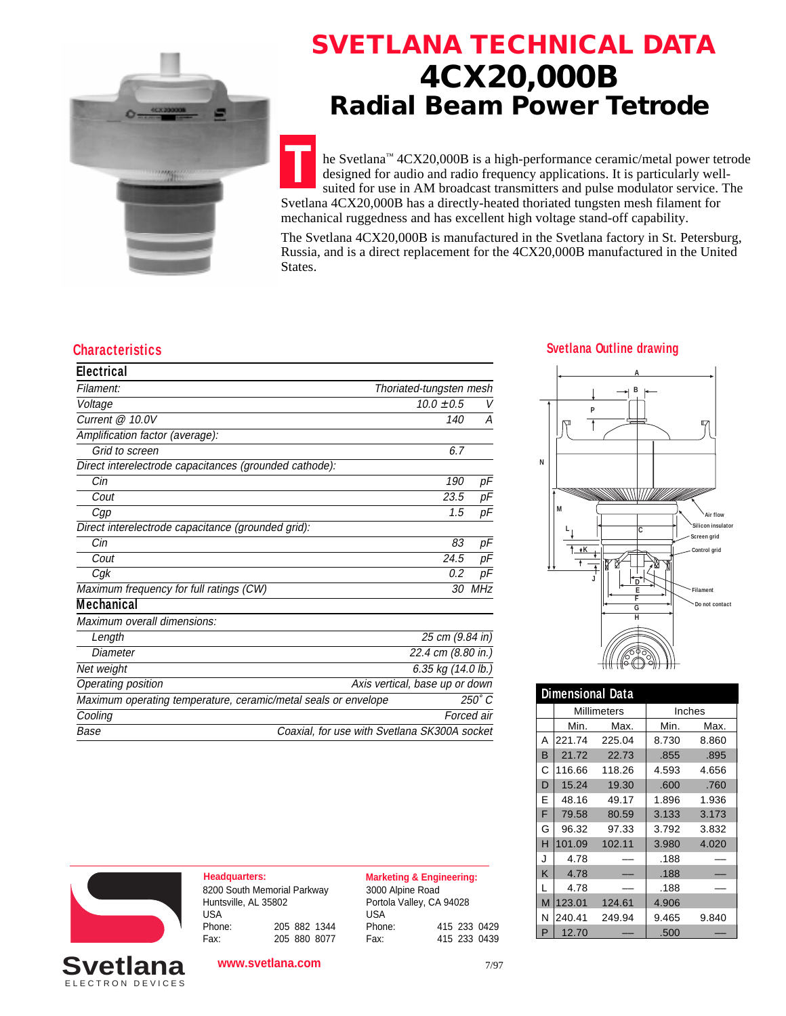

### **SVETLANA TECHNICAL DATA 4CX20,000B Radial Beam Power Tetrode**

**T** he Svetlana™ 4CX20,000B is a high-performance ceramic/metal power tetrode designed for audio and radio frequency applications. It is particularly wellsuited for use in AM broadcast transmitters and pulse modulator service. The Svetlana 4CX20,000B has a directly-heated thoriated tungsten mesh filament for mechanical ruggedness and has excellent high voltage stand-off capability.

The Svetlana 4CX20,000B is manufactured in the Svetlana factory in St. Petersburg, Russia, and is a direct replacement for the 4CX20,000B manufactured in the United States.

#### **Characteristics Svetlana Outline drawing**

| <b>Electrical</b>                                              |                                              |            |
|----------------------------------------------------------------|----------------------------------------------|------------|
| Filament:                                                      | Thoriated-tungsten mesh                      |            |
| Voltage                                                        | $10.0 \pm 0.5$                               | V          |
| Current @ 10.0V                                                | 140                                          | Α          |
| Amplification factor (average):                                |                                              |            |
| Grid to screen                                                 | 6.7                                          |            |
| Direct interelectrode capacitances (grounded cathode):         |                                              |            |
| Cin                                                            | 190                                          | pF         |
| Cout                                                           | 23.5                                         | pF         |
| Cgp                                                            | 1.5                                          | рF         |
| Direct interelectrode capacitance (grounded grid):             |                                              |            |
| Cin                                                            | 83                                           | рF         |
| Cout                                                           | 24.5                                         | рF         |
| Cgk                                                            | 0.2                                          | рF         |
| Maximum frequency for full ratings (CW)                        | 30                                           | MHz        |
| Mechanical                                                     |                                              |            |
| Maximum overall dimensions:                                    |                                              |            |
| Length                                                         | 25 cm (9.84 in)                              |            |
| Diameter                                                       | 22.4 cm (8.80 in.)                           |            |
| Net weight                                                     | 6.35 kg (14.0 lb.)                           |            |
| Operating position                                             | Axis vertical, base up or down               |            |
| Maximum operating temperature, ceramic/metal seals or envelope |                                              | 250°C      |
| Cooling                                                        |                                              | Forced air |
| Base                                                           | Coaxial, for use with Svetlana SK300A socket |            |

## **A**



| <b>Dimensional Data</b> |                    |        |        |       |  |
|-------------------------|--------------------|--------|--------|-------|--|
|                         | <b>Millimeters</b> |        | Inches |       |  |
|                         | Min.               | Max.   | Min.   | Max.  |  |
| Α                       | 221.74             | 225.04 | 8.730  | 8.860 |  |
| B                       | 21.72              | 22.73  | .855   | .895  |  |
| С                       | 116.66             | 118.26 | 4.593  | 4.656 |  |
| D                       | 15.24              | 19.30  | .600   | .760  |  |
| E                       | 48.16              | 49.17  | 1.896  | 1.936 |  |
| F                       | 79.58              | 80.59  | 3.133  | 3.173 |  |
| G                       | 96.32              | 97.33  | 3.792  | 3.832 |  |
| н                       | 101.09             | 102.11 | 3.980  | 4.020 |  |
| J                       | 4.78               |        | .188   |       |  |
| K                       | 4.78               |        | .188   |       |  |
| L                       | 4.78               |        | .188   |       |  |
| M                       | 123.01             | 124.61 | 4.906  |       |  |
| Ν                       | 240.41             | 249.94 | 9.465  | 9.840 |  |
| P                       | 12.70              |        | .500   |       |  |



ELECTRON DEVICES **Svetlar** 

**Headquarters: Marketing & Engineering:** 8200 South Memorial Parkway Huntsville, AL 35802 USA<br>Phone: Phone: 205 882 1344 Fax: 205 880 8077

**www.svetlana.com**

3000 Alpine Road Portola Valley, CA 94028 USA<br>Phone: Phone: 415 233 0429 Fax: 415 233 0439